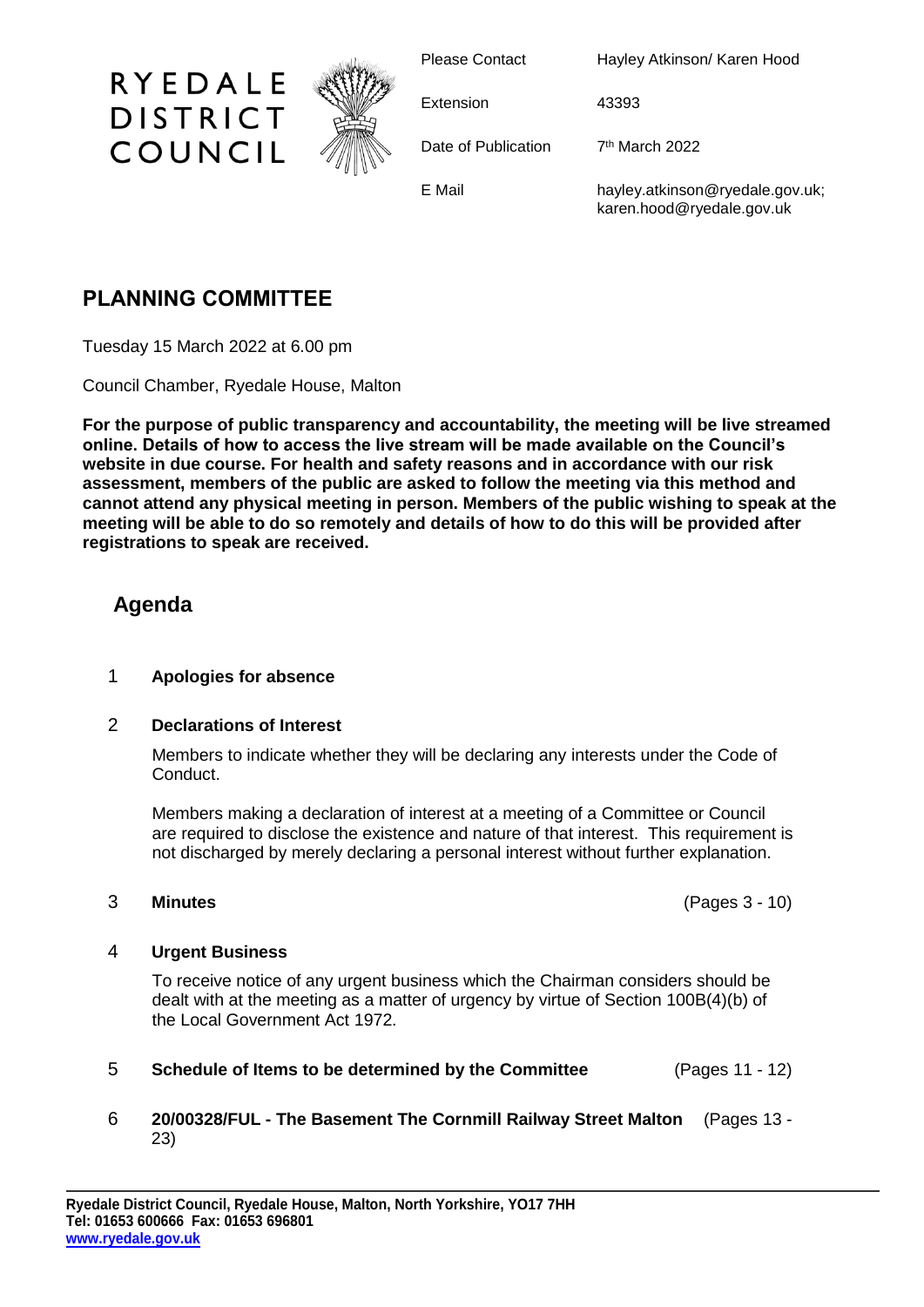

Please Contact Hayley Atkinson/ Karen Hood

Extension 43393

Date of Publication

7<sup>th</sup> March 2022

E Mail hayley.atkinson@ryedale.gov.uk; karen.hood@ryedale.gov.uk

# **PLANNING COMMITTEE**

RYEDALE

**DISTRICT** 

COUNCIL

Tuesday 15 March 2022 at 6.00 pm

Council Chamber, Ryedale House, Malton

**For the purpose of public transparency and accountability, the meeting will be live streamed online. Details of how to access the live stream will be made available on the Council's website in due course. For health and safety reasons and in accordance with our risk assessment, members of the public are asked to follow the meeting via this method and cannot attend any physical meeting in person. Members of the public wishing to speak at the meeting will be able to do so remotely and details of how to do this will be provided after registrations to speak are received.**

## **Agenda**

### 1 **Apologies for absence**

### 2 **Declarations of Interest**

Members to indicate whether they will be declaring any interests under the Code of Conduct.

Members making a declaration of interest at a meeting of a Committee or Council are required to disclose the existence and nature of that interest. This requirement is not discharged by merely declaring a personal interest without further explanation.

3 **Minutes** (Pages 3 - 10)

### 4 **Urgent Business**

To receive notice of any urgent business which the Chairman considers should be dealt with at the meeting as a matter of urgency by virtue of Section 100B(4)(b) of the Local Government Act 1972.

5 **Schedule of Items to be determined by the Committee** (Pages 11 - 12)

### 6 **20/00328/FUL - The Basement The Cornmill Railway Street Malton** (Pages 13 - 23)